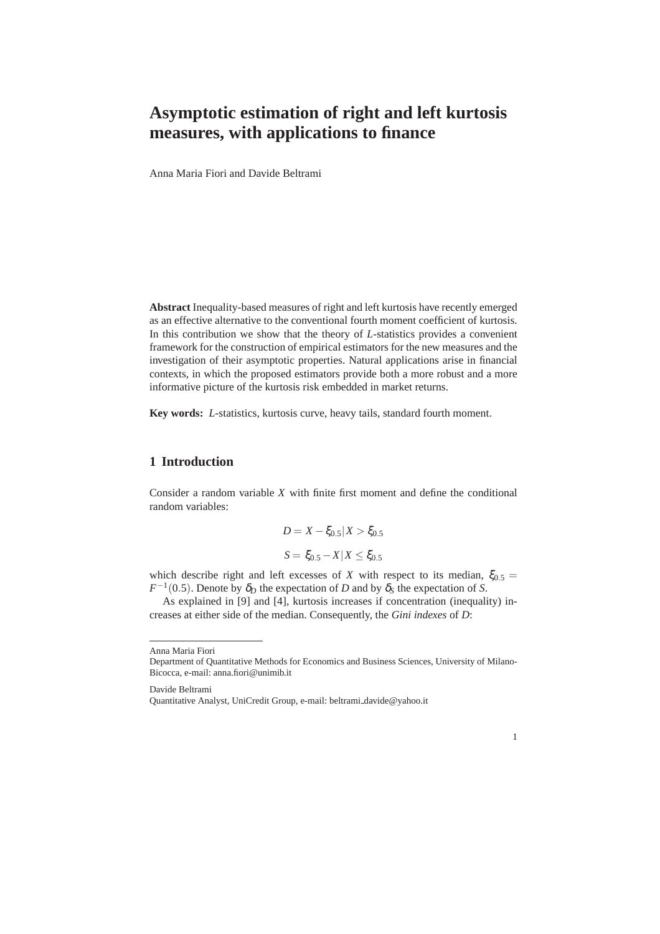# **Asymptotic estimation of right and left kurtosis measures, with applications to finance**

Anna Maria Fiori and Davide Beltrami

**Abstract** Inequality-based measures of right and left kurtosis have recently emerged as an effective alternative to the conventional fourth moment coefficient of kurtosis. In this contribution we show that the theory of *L*-statistics provides a convenient framework for the construction of empirical estimators for the new measures and the investigation of their asymptotic properties. Natural applications arise in financial contexts, in which the proposed estimators provide both a more robust and a more informative picture of the kurtosis risk embedded in market returns.

**Key words:** *L*-statistics, kurtosis curve, heavy tails, standard fourth moment.

## **1 Introduction**

Consider a random variable *X* with finite first moment and define the conditional random variables:

$$
D = X - \xi_{0.5} | X > \xi_{0.5}
$$
  

$$
S = \xi_{0.5} - X | X \le \xi_{0.5}
$$

which describe right and left excesses of *X* with respect to its median,  $\xi_{0.5}$  =  $F^{-1}(0.5)$ . Denote by  $\delta_D$  the expectation of *D* and by  $\delta_S$  the expectation of *S*.

As explained in [9] and [4], kurtosis increases if concentration (inequality) increases at either side of the median. Consequently, the *Gini indexes* of *D*:

Davide Beltrami

1

Anna Maria Fiori

Department of Quantitative Methods for Economics and Business Sciences, University of Milano-Bicocca, e-mail: anna.fiori@unimib.it

Quantitative Analyst, UniCredit Group, e-mail: beltrami davide@yahoo.it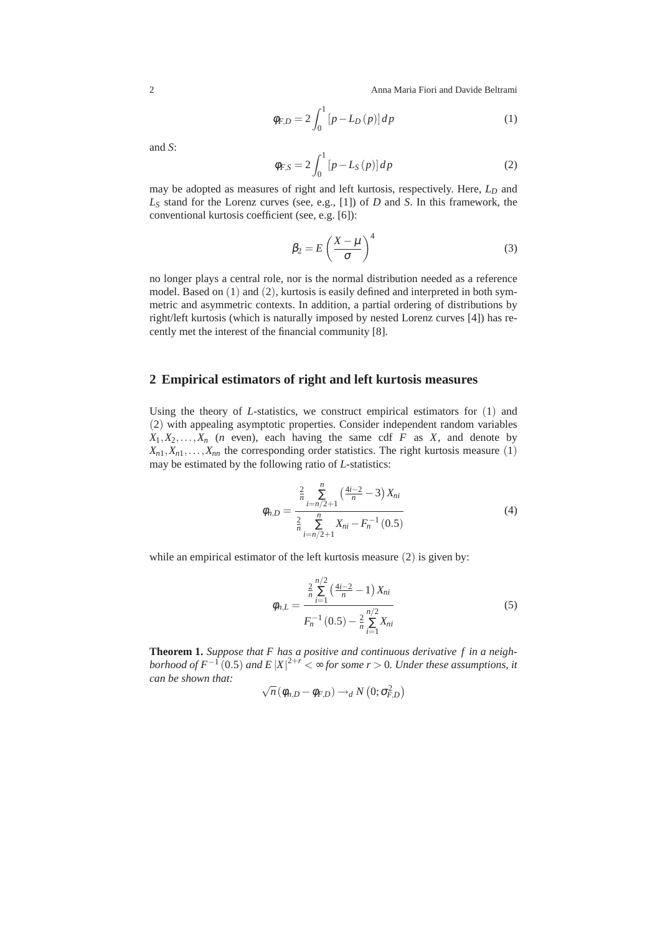2 Anna Maria Fiori and Davide Beltrami

$$
\phi_{F,D} = 2 \int_0^1 [p - L_D(p)] \, dp \tag{1}
$$

and *S*:

$$
\phi_{F,S} = 2 \int_0^1 [p - L_S(p)] \, dp \tag{2}
$$

may be adopted as measures of right and left kurtosis, respectively. Here, *L<sup>D</sup>* and *L<sup>S</sup>* stand for the Lorenz curves (see, e.g., [1]) of *D* and *S*. In this framework, the conventional kurtosis coefficient (see, e.g. [6]):

$$
\beta_2 = E \left( \frac{X - \mu}{\sigma} \right)^4 \tag{3}
$$

no longer plays a central role, nor is the normal distribution needed as a reference model. Based on  $(1)$  and  $(2)$ , kurtosis is easily defined and interpreted in both symmetric and asymmetric contexts. In addition, a partial ordering of distributions by right/left kurtosis (which is naturally imposed by nested Lorenz curves [4]) has recently met the interest of the financial community [8].

#### **2 Empirical estimators of right and left kurtosis measures**

Using the theory of *L*-statistics, we construct empirical estimators for (1) and (2) with appealing asymptotic properties. Consider independent random variables  $X_1, X_2, \ldots, X_n$  (*n* even), each having the same cdf *F* as *X*, and denote by  $X_{n1}, X_{n1}, \ldots, X_{nn}$  the corresponding order statistics. The right kurtosis measure (1) may be estimated by the following ratio of *L*-statistics:

$$
\phi_{n,D} = \frac{\frac{2}{n} \sum_{i=n/2+1}^{n} \left(\frac{4i-2}{n} - 3\right) X_{ni}}{\frac{2}{n} \sum_{i=n/2+1}^{n} X_{ni} - F_n^{-1}(0.5)}
$$
(4)

while an empirical estimator of the left kurtosis measure (2) is given by:

$$
\phi_{n,L} = \frac{\frac{2}{n} \sum_{i=1}^{n/2} \left(\frac{4i-2}{n} - 1\right) X_{ni}}{F_n^{-1} (0.5) - \frac{2}{n} \sum_{i=1}^{n/2} X_{ni}}
$$
(5)

**Theorem 1.** *Suppose that F has a positive and continuous derivative f in a neighborhood of*  $F^{-1}(0.5)$  *and*  $E|X|^{2+r} < \infty$  *for some r* > 0*. Under these assumptions, it can be shown that:*

$$
\sqrt{n}\left(\phi_{n,D}-\phi_{F,D}\right)\longrightarrow_{d}N\left(0;\sigma_{F,D}^{2}\right)
$$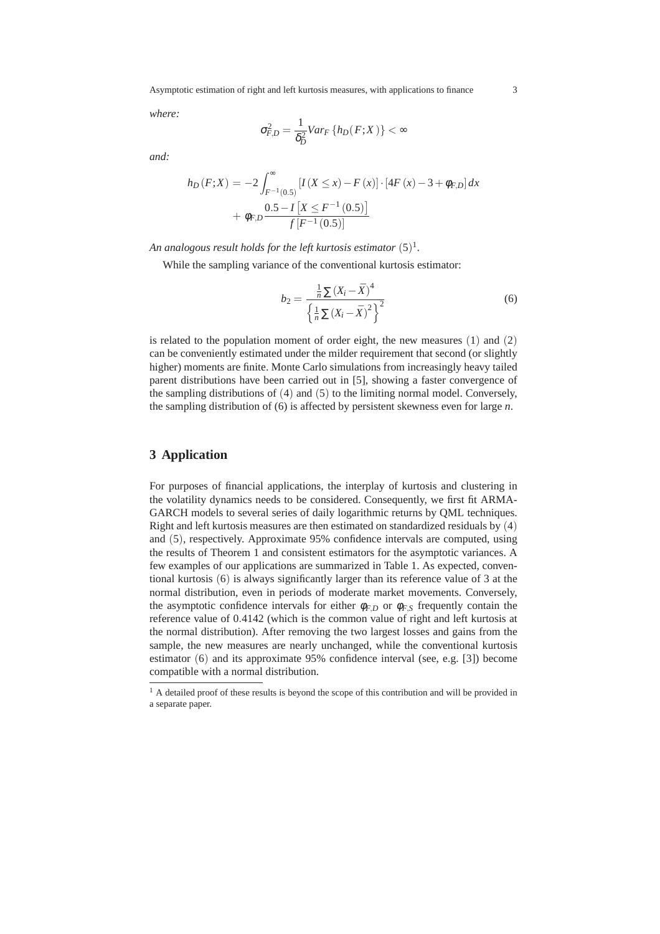Asymptotic estimation of right and left kurtosis measures, with applications to finance 3

*where:*

$$
\sigma_{F,D}^2 = \frac{1}{\delta_D^2} Var_F \left\{ h_D(F;X) \right\} < \infty
$$

*and:*

$$
h_D(F;X) = -2 \int_{F^{-1}(0.5)}^{\infty} \left[ I(X \le x) - F(x) \right] \cdot \left[ 4F(x) - 3 + \phi_{F,D} \right] dx
$$

$$
+ \phi_{F,D} \frac{0.5 - I\left[ X \le F^{-1}(0.5) \right]}{f\left[ F^{-1}(0.5) \right]}
$$

An analogous result holds for the left kurtosis estimator  $(5)^1$ .

While the sampling variance of the conventional kurtosis estimator:

$$
b_2 = \frac{\frac{1}{n} \sum (X_i - \bar{X})^4}{\left\{ \frac{1}{n} \sum (X_i - \bar{X})^2 \right\}^2}
$$
(6)

is related to the population moment of order eight, the new measures  $(1)$  and  $(2)$ can be conveniently estimated under the milder requirement that second (or slightly higher) moments are finite. Monte Carlo simulations from increasingly heavy tailed parent distributions have been carried out in [5], showing a faster convergence of the sampling distributions of (4) and (5) to the limiting normal model. Conversely, the sampling distribution of (6) is affected by persistent skewness even for large *n*.

## **3 Application**

For purposes of financial applications, the interplay of kurtosis and clustering in the volatility dynamics needs to be considered. Consequently, we first fit ARMA-GARCH models to several series of daily logarithmic returns by QML techniques. Right and left kurtosis measures are then estimated on standardized residuals by (4) and (5), respectively. Approximate 95% confidence intervals are computed, using the results of Theorem 1 and consistent estimators for the asymptotic variances. A few examples of our applications are summarized in Table 1. As expected, conventional kurtosis (6) is always significantly larger than its reference value of 3 at the normal distribution, even in periods of moderate market movements. Conversely, the asymptotic confidence intervals for either  $\phi_{F,D}$  or  $\phi_{F,S}$  frequently contain the reference value of 0.4142 (which is the common value of right and left kurtosis at the normal distribution). After removing the two largest losses and gains from the sample, the new measures are nearly unchanged, while the conventional kurtosis estimator (6) and its approximate 95% confidence interval (see, e.g. [3]) become compatible with a normal distribution.

<sup>&</sup>lt;sup>1</sup> A detailed proof of these results is beyond the scope of this contribution and will be provided in a separate paper.